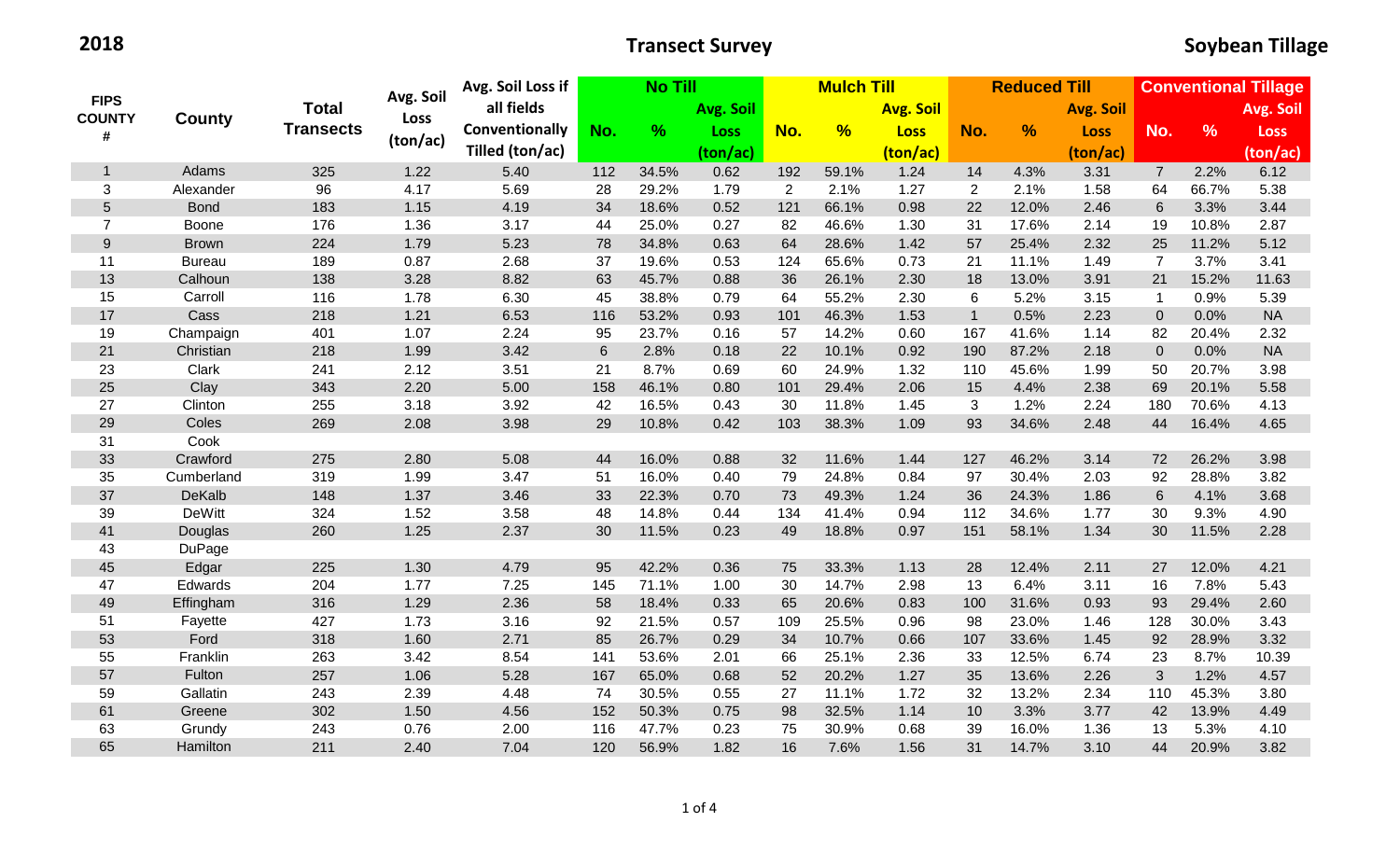**2018 CONFIGURER SURFER SURFER SURFER SURFER SURFER SURFER SURFER SURFER SURFER SURFER SURFER SURFER SURFER SURFER SURFER SURFER SURFER SURFER SURFER SURFER SURFER SURFER SURFER SURFER SURFER SURFER SURFER SURFER SURFER** 

| <b>FIPS</b><br><b>COUNTY</b> | County        | <b>Total</b>     | Avg. Soil | Avg. Soil Loss if<br><b>No Till</b> |         |       |             |              | <b>Mulch Till</b> |                  |                | <b>Reduced Till</b> |                  | <b>Conventional Tillage</b> |               |             |  |
|------------------------------|---------------|------------------|-----------|-------------------------------------|---------|-------|-------------|--------------|-------------------|------------------|----------------|---------------------|------------------|-----------------------------|---------------|-------------|--|
|                              |               |                  |           | all fields                          |         |       | Avg. Soil   |              |                   | <b>Avg. Soil</b> |                |                     | <b>Avg. Soil</b> |                             |               | Avg. Soil   |  |
| #                            |               | <b>Transects</b> | Loss      | Conventionally                      | No.     | $\%$  | <b>Loss</b> | No.          | $\frac{9}{6}$     | <b>Loss</b>      | No.            | $\frac{9}{6}$       | <b>Loss</b>      | No.                         | $\frac{9}{6}$ | <b>Loss</b> |  |
|                              |               |                  | (ton/ac)  | Tilled (ton/ac)                     |         |       | (ton/ac)    |              |                   | (ton/ac)         |                |                     | (ton/ac)         |                             |               | (ton/ac)    |  |
| $\overline{1}$               | Adams         | 325              | 1.22      | 5.40                                | 112     | 34.5% | 0.62        | 192          | 59.1%             | 1.24             | 14             | 4.3%                | 3.31             | $\overline{7}$              | 2.2%          | 6.12        |  |
| 3                            | Alexander     | 96               | 4.17      | 5.69                                | 28      | 29.2% | 1.79        | $\mathbf{2}$ | 2.1%              | 1.27             | $\overline{2}$ | 2.1%                | 1.58             | 64                          | 66.7%         | 5.38        |  |
| $\overline{5}$               | <b>Bond</b>   | 183              | 1.15      | 4.19                                | 34      | 18.6% | 0.52        | 121          | 66.1%             | 0.98             | 22             | 12.0%               | 2.46             | 6                           | 3.3%          | 3.44        |  |
| $\overline{7}$               | Boone         | 176              | 1.36      | 3.17                                | 44      | 25.0% | 0.27        | 82           | 46.6%             | 1.30             | 31             | 17.6%               | 2.14             | 19                          | 10.8%         | 2.87        |  |
| $\boldsymbol{9}$             | <b>Brown</b>  | 224              | 1.79      | 5.23                                | 78      | 34.8% | 0.63        | 64           | 28.6%             | 1.42             | 57             | 25.4%               | 2.32             | 25                          | 11.2%         | 5.12        |  |
| 11                           | <b>Bureau</b> | 189              | 0.87      | 2.68                                | 37      | 19.6% | 0.53        | 124          | 65.6%             | 0.73             | 21             | 11.1%               | 1.49             | $\overline{7}$              | 3.7%          | 3.41        |  |
| 13                           | Calhoun       | 138              | 3.28      | 8.82                                | 63      | 45.7% | 0.88        | 36           | 26.1%             | 2.30             | 18             | 13.0%               | 3.91             | 21                          | 15.2%         | 11.63       |  |
| 15                           | Carroll       | 116              | 1.78      | 6.30                                | 45      | 38.8% | 0.79        | 64           | 55.2%             | 2.30             | 6              | 5.2%                | 3.15             |                             | 0.9%          | 5.39        |  |
| 17                           | Cass          | 218              | 1.21      | 6.53                                | 116     | 53.2% | 0.93        | 101          | 46.3%             | 1.53             | $\overline{1}$ | 0.5%                | 2.23             | $\mathbf 0$                 | 0.0%          | <b>NA</b>   |  |
| 19                           | Champaign     | 401              | 1.07      | 2.24                                | 95      | 23.7% | 0.16        | 57           | 14.2%             | 0.60             | 167            | 41.6%               | 1.14             | 82                          | 20.4%         | 2.32        |  |
| 21                           | Christian     | 218              | 1.99      | 3.42                                | $\,6\,$ | 2.8%  | 0.18        | 22           | 10.1%             | 0.92             | 190            | 87.2%               | 2.18             | $\overline{0}$              | 0.0%          | <b>NA</b>   |  |
| 23                           | Clark         | 241              | 2.12      | 3.51                                | 21      | 8.7%  | 0.69        | 60           | 24.9%             | 1.32             | 110            | 45.6%               | 1.99             | 50                          | 20.7%         | 3.98        |  |
| 25                           | Clay          | 343              | 2.20      | 5.00                                | 158     | 46.1% | 0.80        | 101          | 29.4%             | 2.06             | 15             | 4.4%                | 2.38             | 69                          | 20.1%         | 5.58        |  |
| 27                           | Clinton       | 255              | 3.18      | 3.92                                | 42      | 16.5% | 0.43        | 30           | 11.8%             | 1.45             | 3              | 1.2%                | 2.24             | 180                         | 70.6%         | 4.13        |  |
| 29                           | Coles         | 269              | 2.08      | 3.98                                | 29      | 10.8% | 0.42        | 103          | 38.3%             | 1.09             | 93             | 34.6%               | 2.48             | 44                          | 16.4%         | 4.65        |  |
| 31                           | Cook          |                  |           |                                     |         |       |             |              |                   |                  |                |                     |                  |                             |               |             |  |
| 33                           | Crawford      | 275              | 2.80      | 5.08                                | 44      | 16.0% | 0.88        | 32           | 11.6%             | 1.44             | 127            | 46.2%               | 3.14             | 72                          | 26.2%         | 3.98        |  |
| 35                           | Cumberland    | 319              | 1.99      | 3.47                                | 51      | 16.0% | 0.40        | 79           | 24.8%             | 0.84             | 97             | 30.4%               | 2.03             | 92                          | 28.8%         | 3.82        |  |
| $37\,$                       | DeKalb        | 148              | 1.37      | 3.46                                | 33      | 22.3% | 0.70        | 73           | 49.3%             | 1.24             | 36             | 24.3%               | 1.86             | $\,6\,$                     | 4.1%          | 3.68        |  |
| 39                           | <b>DeWitt</b> | 324              | 1.52      | 3.58                                | 48      | 14.8% | 0.44        | 134          | 41.4%             | 0.94             | 112            | 34.6%               | 1.77             | 30                          | 9.3%          | 4.90        |  |
| 41                           | Douglas       | 260              | 1.25      | 2.37                                | 30      | 11.5% | 0.23        | 49           | 18.8%             | 0.97             | 151            | 58.1%               | 1.34             | 30                          | 11.5%         | 2.28        |  |
| 43                           | DuPage        |                  |           |                                     |         |       |             |              |                   |                  |                |                     |                  |                             |               |             |  |
| 45                           | Edgar         | 225              | 1.30      | 4.79                                | 95      | 42.2% | 0.36        | 75           | 33.3%             | 1.13             | 28             | 12.4%               | 2.11             | 27                          | 12.0%         | 4.21        |  |
| 47                           | Edwards       | 204              | 1.77      | 7.25                                | 145     | 71.1% | 1.00        | 30           | 14.7%             | 2.98             | 13             | 6.4%                | 3.11             | 16                          | 7.8%          | 5.43        |  |
| 49                           | Effingham     | 316              | 1.29      | 2.36                                | 58      | 18.4% | 0.33        | 65           | 20.6%             | 0.83             | 100            | 31.6%               | 0.93             | 93                          | 29.4%         | 2.60        |  |
| 51                           | Fayette       | 427              | 1.73      | 3.16                                | 92      | 21.5% | 0.57        | 109          | 25.5%             | 0.96             | 98             | 23.0%               | 1.46             | 128                         | 30.0%         | 3.43        |  |
| 53                           | Ford          | 318              | 1.60      | 2.71                                | 85      | 26.7% | 0.29        | 34           | 10.7%             | 0.66             | 107            | 33.6%               | 1.45             | 92                          | 28.9%         | 3.32        |  |
| 55                           | Franklin      | 263              | 3.42      | 8.54                                | 141     | 53.6% | 2.01        | 66           | 25.1%             | 2.36             | 33             | 12.5%               | 6.74             | 23                          | 8.7%          | 10.39       |  |
| 57                           | Fulton        | 257              | 1.06      | 5.28                                | 167     | 65.0% | 0.68        | 52           | 20.2%             | 1.27             | 35             | 13.6%               | 2.26             | $\mathbf{3}$                | 1.2%          | 4.57        |  |
| 59                           | Gallatin      | 243              | 2.39      | 4.48                                | 74      | 30.5% | 0.55        | 27           | 11.1%             | 1.72             | 32             | 13.2%               | 2.34             | 110                         | 45.3%         | 3.80        |  |
| 61                           | Greene        | 302              | 1.50      | 4.56                                | 152     | 50.3% | 0.75        | 98           | 32.5%             | 1.14             | 10             | 3.3%                | 3.77             | 42                          | 13.9%         | 4.49        |  |
| 63                           | Grundy        | 243              | 0.76      | 2.00                                | 116     | 47.7% | 0.23        | 75           | 30.9%             | 0.68             | 39             | 16.0%               | 1.36             | 13                          | 5.3%          | 4.10        |  |
| 65                           | Hamilton      | 211              | 2.40      | 7.04                                | 120     | 56.9% | 1.82        | 16           | 7.6%              | 1.56             | 31             | 14.7%               | 3.10             | 44                          | 20.9%         | 3.82        |  |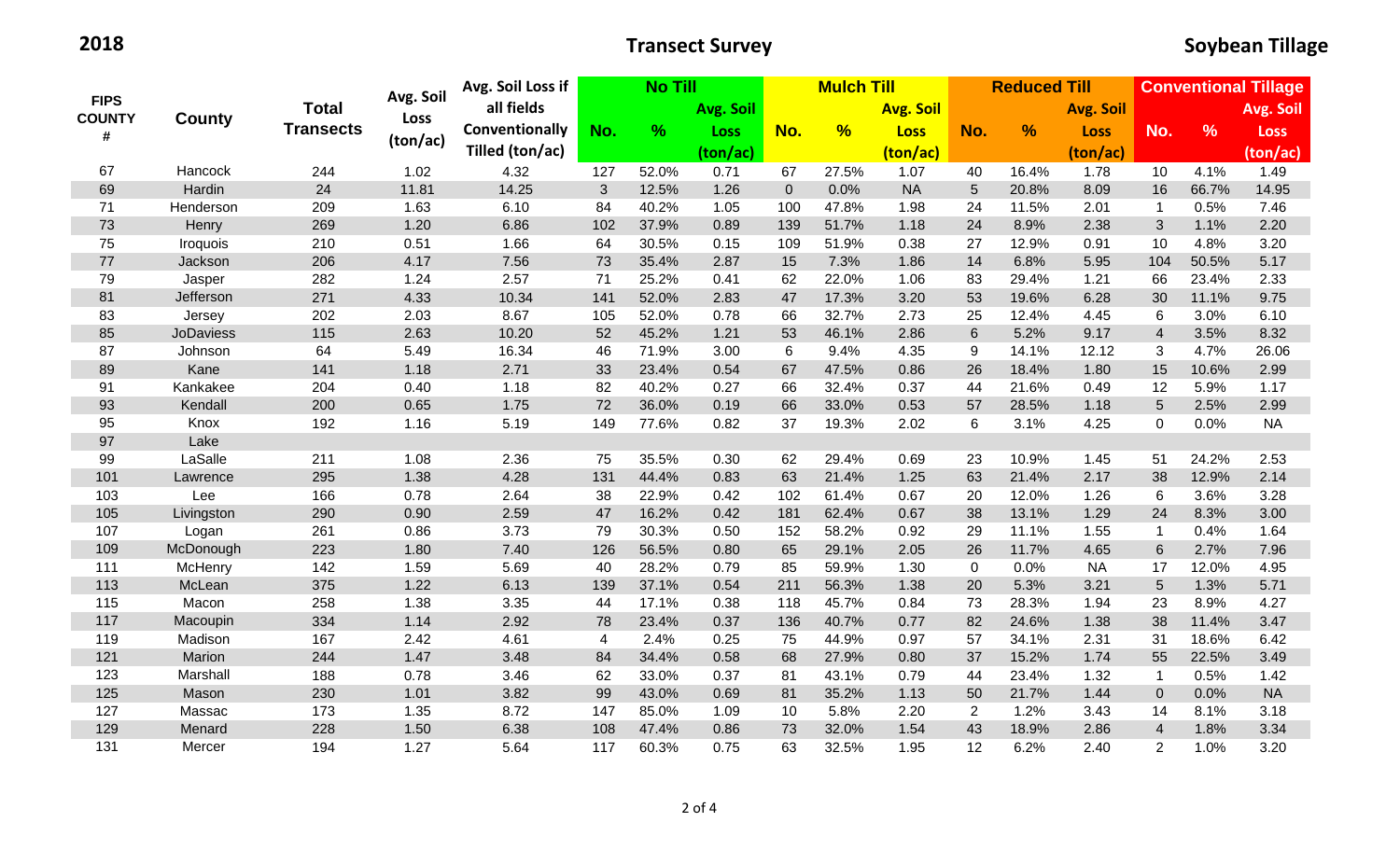**2018 CONFIGURER SURFER SURFER SURFER SURFER SURFER SURFER SURFER SURFER SURFER SURFER SURFER SURFER SURFER SURFER SURFER SURFER SURFER SURFER SURFER SURFER SURFER SURFER SURFER SURFER SURFER SURFER SURFER SURFER SURFER** 

|                    |                  | <b>Total</b>     | Avg. Soil | Avg. Soil Loss if | <b>No Till</b> |       |           |             | <b>Mulch Till</b> |             |                  | <b>Reduced Till</b> |                  | <b>Conventional Tillage</b> |       |             |  |
|--------------------|------------------|------------------|-----------|-------------------|----------------|-------|-----------|-------------|-------------------|-------------|------------------|---------------------|------------------|-----------------------------|-------|-------------|--|
| <b>FIPS</b>        |                  |                  |           | all fields        |                |       | Avg. Soil |             | <b>Avg. Soil</b>  |             |                  |                     | <b>Avg. Soil</b> |                             |       | Avg. Soil   |  |
| <b>COUNTY</b><br># | County           | <b>Transects</b> | Loss      | Conventionally    | No.            | $\%$  | Loss      | No.         | %                 | <b>Loss</b> | No.              | %                   | <b>Loss</b>      | No.                         | %     | <b>Loss</b> |  |
|                    |                  |                  | (ton/ac)  | Tilled (ton/ac)   |                |       | (ton/ac)  |             |                   | (ton/ac)    |                  |                     | (ton/ac)         |                             |       | (ton/ac)    |  |
| 67                 | Hancock          | 244              | 1.02      | 4.32              | 127            | 52.0% | 0.71      | 67          | 27.5%             | 1.07        | 40               | 16.4%               | 1.78             | 10                          | 4.1%  | 1.49        |  |
| 69                 | Hardin           | 24               | 11.81     | 14.25             | $\mathbf{3}$   | 12.5% | 1.26      | $\mathbf 0$ | 0.0%              | <b>NA</b>   | $5\phantom{.}$   | 20.8%               | 8.09             | 16                          | 66.7% | 14.95       |  |
| 71                 | Henderson        | 209              | 1.63      | 6.10              | 84             | 40.2% | 1.05      | 100         | 47.8%             | 1.98        | 24               | 11.5%               | 2.01             | $\mathbf 1$                 | 0.5%  | 7.46        |  |
| 73                 | Henry            | 269              | 1.20      | 6.86              | 102            | 37.9% | 0.89      | 139         | 51.7%             | 1.18        | 24               | 8.9%                | 2.38             | 3                           | 1.1%  | 2.20        |  |
| 75                 | Iroquois         | 210              | 0.51      | 1.66              | 64             | 30.5% | 0.15      | 109         | 51.9%             | 0.38        | 27               | 12.9%               | 0.91             | 10                          | 4.8%  | 3.20        |  |
| 77                 | Jackson          | 206              | 4.17      | 7.56              | 73             | 35.4% | 2.87      | 15          | 7.3%              | 1.86        | 14               | 6.8%                | 5.95             | 104                         | 50.5% | 5.17        |  |
| 79                 | Jasper           | 282              | 1.24      | 2.57              | 71             | 25.2% | 0.41      | 62          | 22.0%             | 1.06        | 83               | 29.4%               | 1.21             | 66                          | 23.4% | 2.33        |  |
| 81                 | Jefferson        | 271              | 4.33      | 10.34             | 141            | 52.0% | 2.83      | 47          | 17.3%             | 3.20        | 53               | 19.6%               | 6.28             | 30                          | 11.1% | 9.75        |  |
| 83                 | Jersey           | 202              | 2.03      | 8.67              | 105            | 52.0% | 0.78      | 66          | 32.7%             | 2.73        | 25               | 12.4%               | 4.45             | 6                           | 3.0%  | 6.10        |  |
| 85                 | <b>JoDaviess</b> | 115              | 2.63      | 10.20             | 52             | 45.2% | 1.21      | 53          | 46.1%             | 2.86        | $\,6\,$          | 5.2%                | 9.17             | $\overline{4}$              | 3.5%  | 8.32        |  |
| 87                 | Johnson          | 64               | 5.49      | 16.34             | 46             | 71.9% | 3.00      | $\,6\,$     | 9.4%              | 4.35        | $\boldsymbol{9}$ | 14.1%               | 12.12            | 3                           | 4.7%  | 26.06       |  |
| 89                 | Kane             | 141              | 1.18      | 2.71              | 33             | 23.4% | 0.54      | 67          | 47.5%             | 0.86        | 26               | 18.4%               | 1.80             | 15                          | 10.6% | 2.99        |  |
| 91                 | Kankakee         | 204              | 0.40      | 1.18              | 82             | 40.2% | 0.27      | 66          | 32.4%             | 0.37        | 44               | 21.6%               | 0.49             | 12                          | 5.9%  | 1.17        |  |
| 93                 | Kendall          | 200              | 0.65      | 1.75              | 72             | 36.0% | 0.19      | 66          | 33.0%             | 0.53        | 57               | 28.5%               | 1.18             | $5\overline{)}$             | 2.5%  | 2.99        |  |
| 95                 | Knox             | 192              | 1.16      | 5.19              | 149            | 77.6% | 0.82      | 37          | 19.3%             | 2.02        | 6                | 3.1%                | 4.25             | $\mathbf 0$                 | 0.0%  | <b>NA</b>   |  |
| $97\,$             | Lake             |                  |           |                   |                |       |           |             |                   |             |                  |                     |                  |                             |       |             |  |
| 99                 | LaSalle          | 211              | 1.08      | 2.36              | 75             | 35.5% | 0.30      | 62          | 29.4%             | 0.69        | 23               | 10.9%               | 1.45             | 51                          | 24.2% | 2.53        |  |
| 101                | Lawrence         | 295              | 1.38      | 4.28              | 131            | 44.4% | 0.83      | 63          | 21.4%             | 1.25        | 63               | 21.4%               | 2.17             | 38                          | 12.9% | 2.14        |  |
| 103                | Lee              | 166              | 0.78      | 2.64              | 38             | 22.9% | 0.42      | 102         | 61.4%             | 0.67        | 20               | 12.0%               | 1.26             | 6                           | 3.6%  | 3.28        |  |
| 105                | Livingston       | 290              | 0.90      | 2.59              | 47             | 16.2% | 0.42      | 181         | 62.4%             | 0.67        | 38               | 13.1%               | 1.29             | 24                          | 8.3%  | 3.00        |  |
| 107                | Logan            | 261              | 0.86      | 3.73              | 79             | 30.3% | 0.50      | 152         | 58.2%             | 0.92        | 29               | 11.1%               | 1.55             | $\mathbf{1}$                | 0.4%  | 1.64        |  |
| 109                | McDonough        | 223              | 1.80      | 7.40              | 126            | 56.5% | 0.80      | 65          | 29.1%             | 2.05        | 26               | 11.7%               | 4.65             | 6                           | 2.7%  | 7.96        |  |
| 111                | McHenry          | 142              | 1.59      | 5.69              | 40             | 28.2% | 0.79      | 85          | 59.9%             | 1.30        | $\mathbf 0$      | 0.0%                | <b>NA</b>        | 17                          | 12.0% | 4.95        |  |
| 113                | McLean           | 375              | 1.22      | 6.13              | 139            | 37.1% | 0.54      | 211         | 56.3%             | 1.38        | 20               | 5.3%                | 3.21             | $5\phantom{.0}$             | 1.3%  | 5.71        |  |
| 115                | Macon            | 258              | 1.38      | 3.35              | 44             | 17.1% | 0.38      | 118         | 45.7%             | 0.84        | 73               | 28.3%               | 1.94             | 23                          | 8.9%  | 4.27        |  |
| 117                | Macoupin         | 334              | 1.14      | 2.92              | 78             | 23.4% | 0.37      | 136         | 40.7%             | 0.77        | 82               | 24.6%               | 1.38             | 38                          | 11.4% | 3.47        |  |
| 119                | Madison          | 167              | 2.42      | 4.61              | 4              | 2.4%  | 0.25      | 75          | 44.9%             | 0.97        | 57               | 34.1%               | 2.31             | 31                          | 18.6% | 6.42        |  |
| 121                | Marion           | 244              | 1.47      | 3.48              | 84             | 34.4% | 0.58      | 68          | 27.9%             | 0.80        | 37               | 15.2%               | 1.74             | 55                          | 22.5% | 3.49        |  |
| 123                | Marshall         | 188              | 0.78      | 3.46              | 62             | 33.0% | 0.37      | 81          | 43.1%             | 0.79        | 44               | 23.4%               | 1.32             | $\mathbf{1}$                | 0.5%  | 1.42        |  |
| 125                | Mason            | 230              | 1.01      | 3.82              | 99             | 43.0% | 0.69      | 81          | 35.2%             | 1.13        | 50               | 21.7%               | 1.44             | $\overline{0}$              | 0.0%  | <b>NA</b>   |  |
| 127                | Massac           | 173              | 1.35      | 8.72              | 147            | 85.0% | 1.09      | 10          | 5.8%              | 2.20        | $\overline{2}$   | 1.2%                | 3.43             | 14                          | 8.1%  | 3.18        |  |
| 129                | Menard           | 228              | 1.50      | 6.38              | 108            | 47.4% | 0.86      | 73          | 32.0%             | 1.54        | 43               | 18.9%               | 2.86             | $\overline{4}$              | 1.8%  | 3.34        |  |
| 131                | Mercer           | 194              | 1.27      | 5.64              | 117            | 60.3% | 0.75      | 63          | 32.5%             | 1.95        | 12               | 6.2%                | 2.40             | $\overline{2}$              | 1.0%  | 3.20        |  |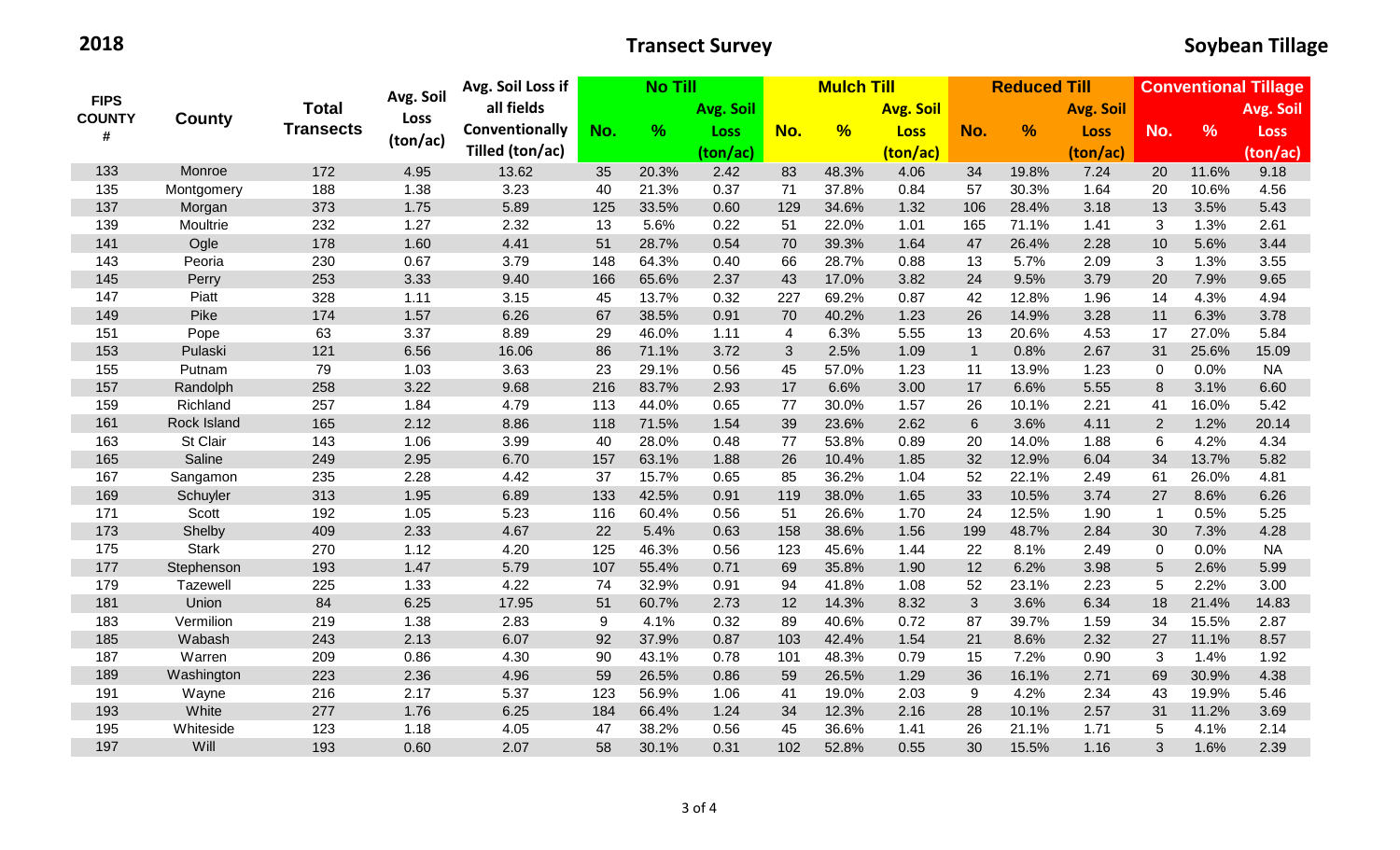| <b>FIPS</b><br><b>COUNTY</b> |                 | <b>Total</b>     |           | Avg. Soil Loss if | <b>No Till</b> |               |             |     | <b>Mulch Till</b> |                  |                | <b>Reduced Till</b> |                  | <b>Conventional Tillage</b> |               |             |
|------------------------------|-----------------|------------------|-----------|-------------------|----------------|---------------|-------------|-----|-------------------|------------------|----------------|---------------------|------------------|-----------------------------|---------------|-------------|
|                              |                 |                  | Avg. Soil | all fields        |                |               | Avg. Soil   |     |                   | <b>Avg. Soil</b> |                |                     | <b>Avg. Soil</b> |                             |               | Avg. Soil   |
| #                            | <b>County</b>   | <b>Transects</b> | Loss      | Conventionally    | No.            | $\frac{9}{6}$ | <b>Loss</b> | No. | $\frac{9}{6}$     | <b>Loss</b>      | No.            | $\frac{9}{6}$       | <b>Loss</b>      | No.                         | $\frac{9}{6}$ | <b>Loss</b> |
|                              |                 |                  | (ton/ac)  | Tilled (ton/ac)   |                |               | (ton/ac)    |     |                   | (ton/ac)         |                |                     | (ton/ac)         |                             |               | (ton/ac)    |
| 133                          | Monroe          | 172              | 4.95      | 13.62             | 35             | 20.3%         | 2.42        | 83  | 48.3%             | 4.06             | 34             | 19.8%               | 7.24             | 20                          | 11.6%         | 9.18        |
| 135                          | Montgomery      | 188              | 1.38      | 3.23              | 40             | 21.3%         | 0.37        | 71  | 37.8%             | 0.84             | 57             | 30.3%               | 1.64             | 20                          | 10.6%         | 4.56        |
| 137                          | Morgan          | 373              | 1.75      | 5.89              | 125            | 33.5%         | 0.60        | 129 | 34.6%             | 1.32             | 106            | 28.4%               | 3.18             | 13                          | 3.5%          | 5.43        |
| 139                          | Moultrie        | 232              | 1.27      | 2.32              | 13             | 5.6%          | 0.22        | 51  | 22.0%             | 1.01             | 165            | 71.1%               | 1.41             | 3                           | 1.3%          | 2.61        |
| 141                          | Ogle            | 178              | 1.60      | 4.41              | 51             | 28.7%         | 0.54        | 70  | 39.3%             | 1.64             | 47             | 26.4%               | 2.28             | 10                          | 5.6%          | 3.44        |
| 143                          | Peoria          | 230              | 0.67      | 3.79              | 148            | 64.3%         | 0.40        | 66  | 28.7%             | 0.88             | 13             | 5.7%                | 2.09             | 3                           | 1.3%          | 3.55        |
| 145                          | Perry           | 253              | 3.33      | 9.40              | 166            | 65.6%         | 2.37        | 43  | 17.0%             | 3.82             | 24             | 9.5%                | 3.79             | 20                          | 7.9%          | 9.65        |
| 147                          | Piatt           | 328              | 1.11      | 3.15              | 45             | 13.7%         | 0.32        | 227 | 69.2%             | 0.87             | 42             | 12.8%               | 1.96             | 14                          | 4.3%          | 4.94        |
| 149                          | Pike            | 174              | 1.57      | 6.26              | 67             | 38.5%         | 0.91        | 70  | 40.2%             | 1.23             | 26             | 14.9%               | 3.28             | 11                          | 6.3%          | 3.78        |
| 151                          | Pope            | 63               | 3.37      | 8.89              | 29             | 46.0%         | 1.11        | 4   | 6.3%              | 5.55             | 13             | 20.6%               | 4.53             | 17                          | 27.0%         | 5.84        |
| 153                          | Pulaski         | 121              | 6.56      | 16.06             | 86             | 71.1%         | 3.72        | 3   | 2.5%              | 1.09             | $\overline{1}$ | 0.8%                | 2.67             | 31                          | 25.6%         | 15.09       |
| 155                          | Putnam          | 79               | 1.03      | 3.63              | 23             | 29.1%         | 0.56        | 45  | 57.0%             | 1.23             | 11             | 13.9%               | 1.23             | 0                           | 0.0%          | <b>NA</b>   |
| 157                          | Randolph        | 258              | 3.22      | 9.68              | 216            | 83.7%         | 2.93        | 17  | 6.6%              | 3.00             | 17             | 6.6%                | 5.55             | 8                           | 3.1%          | 6.60        |
| 159                          | Richland        | 257              | 1.84      | 4.79              | 113            | 44.0%         | 0.65        | 77  | 30.0%             | 1.57             | 26             | 10.1%               | 2.21             | 41                          | 16.0%         | 5.42        |
| 161                          | Rock Island     | 165              | 2.12      | 8.86              | 118            | 71.5%         | 1.54        | 39  | 23.6%             | 2.62             | $6\phantom{1}$ | 3.6%                | 4.11             | $\overline{2}$              | 1.2%          | 20.14       |
| 163                          | St Clair        | 143              | 1.06      | 3.99              | 40             | 28.0%         | 0.48        | 77  | 53.8%             | 0.89             | 20             | 14.0%               | 1.88             | 6                           | 4.2%          | 4.34        |
| 165                          | Saline          | 249              | 2.95      | 6.70              | 157            | 63.1%         | 1.88        | 26  | 10.4%             | 1.85             | 32             | 12.9%               | 6.04             | 34                          | 13.7%         | 5.82        |
| 167                          | Sangamon        | 235              | 2.28      | 4.42              | 37             | 15.7%         | 0.65        | 85  | 36.2%             | 1.04             | 52             | 22.1%               | 2.49             | 61                          | 26.0%         | 4.81        |
| 169                          | Schuyler        | 313              | 1.95      | 6.89              | 133            | 42.5%         | 0.91        | 119 | 38.0%             | 1.65             | 33             | 10.5%               | 3.74             | 27                          | 8.6%          | 6.26        |
| 171                          | Scott           | 192              | 1.05      | 5.23              | 116            | 60.4%         | 0.56        | 51  | 26.6%             | 1.70             | 24             | 12.5%               | 1.90             | $\mathbf{1}$                | 0.5%          | 5.25        |
| 173                          | Shelby          | 409              | 2.33      | 4.67              | 22             | 5.4%          | 0.63        | 158 | 38.6%             | 1.56             | 199            | 48.7%               | 2.84             | 30                          | 7.3%          | 4.28        |
| 175                          | <b>Stark</b>    | 270              | 1.12      | 4.20              | 125            | 46.3%         | 0.56        | 123 | 45.6%             | 1.44             | 22             | 8.1%                | 2.49             | 0                           | 0.0%          | <b>NA</b>   |
| 177                          | Stephenson      | 193              | 1.47      | 5.79              | 107            | 55.4%         | 0.71        | 69  | 35.8%             | 1.90             | 12             | 6.2%                | 3.98             | $5\overline{)}$             | 2.6%          | 5.99        |
| 179                          | <b>Tazewell</b> | 225              | 1.33      | 4.22              | 74             | 32.9%         | 0.91        | 94  | 41.8%             | 1.08             | 52             | 23.1%               | 2.23             | 5                           | 2.2%          | 3.00        |
| 181                          | Union           | 84               | 6.25      | 17.95             | 51             | 60.7%         | 2.73        | 12  | 14.3%             | 8.32             | $\mathbf{3}$   | 3.6%                | 6.34             | 18                          | 21.4%         | 14.83       |
| 183                          | Vermilion       | 219              | 1.38      | 2.83              | 9              | 4.1%          | 0.32        | 89  | 40.6%             | 0.72             | 87             | 39.7%               | 1.59             | 34                          | 15.5%         | 2.87        |
| 185                          | Wabash          | 243              | 2.13      | 6.07              | 92             | 37.9%         | 0.87        | 103 | 42.4%             | 1.54             | 21             | 8.6%                | 2.32             | 27                          | 11.1%         | 8.57        |
| 187                          | Warren          | 209              | 0.86      | 4.30              | 90             | 43.1%         | 0.78        | 101 | 48.3%             | 0.79             | 15             | 7.2%                | 0.90             | 3                           | 1.4%          | 1.92        |
| 189                          | Washington      | 223              | 2.36      | 4.96              | 59             | 26.5%         | 0.86        | 59  | 26.5%             | 1.29             | 36             | 16.1%               | 2.71             | 69                          | 30.9%         | 4.38        |
| 191                          | Wayne           | 216              | 2.17      | 5.37              | 123            | 56.9%         | 1.06        | 41  | 19.0%             | 2.03             | 9              | 4.2%                | 2.34             | 43                          | 19.9%         | 5.46        |
| 193                          | White           | 277              | 1.76      | 6.25              | 184            | 66.4%         | 1.24        | 34  | 12.3%             | 2.16             | 28             | 10.1%               | 2.57             | 31                          | 11.2%         | 3.69        |
| 195                          | Whiteside       | 123              | 1.18      | 4.05              | 47             | 38.2%         | 0.56        | 45  | 36.6%             | 1.41             | 26             | 21.1%               | 1.71             | 5                           | 4.1%          | 2.14        |
| 197                          | Will            | 193              | 0.60      | 2.07              | 58             | 30.1%         | 0.31        | 102 | 52.8%             | 0.55             | 30             | 15.5%               | 1.16             | 3                           | 1.6%          | 2.39        |